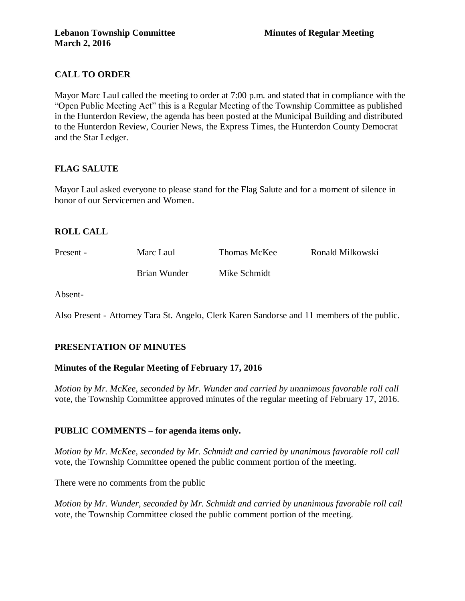# **CALL TO ORDER**

Mayor Marc Laul called the meeting to order at 7:00 p.m. and stated that in compliance with the "Open Public Meeting Act" this is a Regular Meeting of the Township Committee as published in the Hunterdon Review, the agenda has been posted at the Municipal Building and distributed to the Hunterdon Review, Courier News, the Express Times, the Hunterdon County Democrat and the Star Ledger.

# **FLAG SALUTE**

Mayor Laul asked everyone to please stand for the Flag Salute and for a moment of silence in honor of our Servicemen and Women.

# **ROLL CALL**

Present - Marc Laul Thomas McKee Ronald Milkowski Brian Wunder Mike Schmidt

Absent-

Also Present - Attorney Tara St. Angelo, Clerk Karen Sandorse and 11 members of the public.

# **PRESENTATION OF MINUTES**

# **Minutes of the Regular Meeting of February 17, 2016**

*Motion by Mr. McKee, seconded by Mr. Wunder and carried by unanimous favorable roll call*  vote, the Township Committee approved minutes of the regular meeting of February 17, 2016.

# **PUBLIC COMMENTS – for agenda items only.**

*Motion by Mr. McKee, seconded by Mr. Schmidt and carried by unanimous favorable roll call*  vote, the Township Committee opened the public comment portion of the meeting.

There were no comments from the public

*Motion by Mr. Wunder, seconded by Mr. Schmidt and carried by unanimous favorable roll call*  vote, the Township Committee closed the public comment portion of the meeting.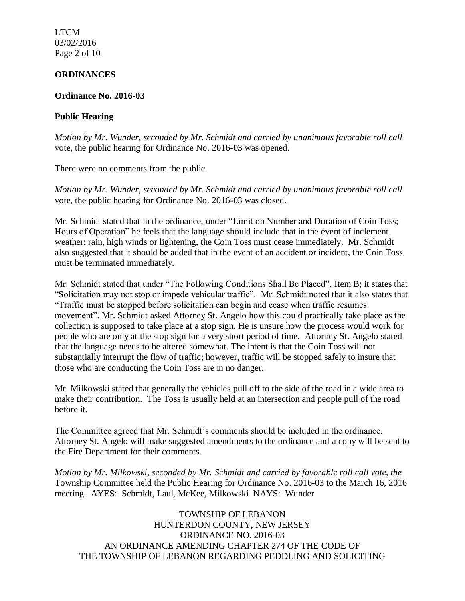LTCM 03/02/2016 Page 2 of 10

### **ORDINANCES**

### **Ordinance No. 2016-03**

## **Public Hearing**

*Motion by Mr. Wunder, seconded by Mr. Schmidt and carried by unanimous favorable roll call*  vote, the public hearing for Ordinance No. 2016-03 was opened.

There were no comments from the public.

*Motion by Mr. Wunder, seconded by Mr. Schmidt and carried by unanimous favorable roll call*  vote, the public hearing for Ordinance No. 2016-03 was closed.

Mr. Schmidt stated that in the ordinance, under "Limit on Number and Duration of Coin Toss; Hours of Operation" he feels that the language should include that in the event of inclement weather; rain, high winds or lightening, the Coin Toss must cease immediately. Mr. Schmidt also suggested that it should be added that in the event of an accident or incident, the Coin Toss must be terminated immediately.

Mr. Schmidt stated that under "The Following Conditions Shall Be Placed", Item B; it states that "Solicitation may not stop or impede vehicular traffic". Mr. Schmidt noted that it also states that "Traffic must be stopped before solicitation can begin and cease when traffic resumes movement". Mr. Schmidt asked Attorney St. Angelo how this could practically take place as the collection is supposed to take place at a stop sign. He is unsure how the process would work for people who are only at the stop sign for a very short period of time. Attorney St. Angelo stated that the language needs to be altered somewhat. The intent is that the Coin Toss will not substantially interrupt the flow of traffic; however, traffic will be stopped safely to insure that those who are conducting the Coin Toss are in no danger.

Mr. Milkowski stated that generally the vehicles pull off to the side of the road in a wide area to make their contribution. The Toss is usually held at an intersection and people pull of the road before it.

The Committee agreed that Mr. Schmidt's comments should be included in the ordinance. Attorney St. Angelo will make suggested amendments to the ordinance and a copy will be sent to the Fire Department for their comments.

*Motion by Mr. Milkowski, seconded by Mr. Schmidt and carried by favorable roll call vote, the* Township Committee held the Public Hearing for Ordinance No. 2016-03 to the March 16, 2016 meeting. AYES: Schmidt, Laul, McKee, Milkowski NAYS: Wunder

TOWNSHIP OF LEBANON HUNTERDON COUNTY, NEW JERSEY ORDINANCE NO. 2016-03 AN ORDINANCE AMENDING CHAPTER 274 OF THE CODE OF THE TOWNSHIP OF LEBANON REGARDING PEDDLING AND SOLICITING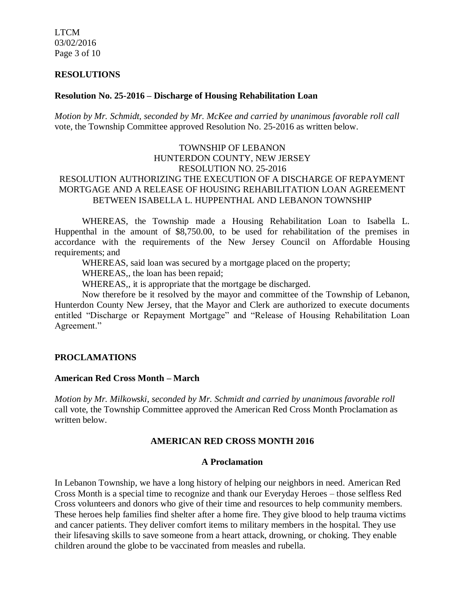LTCM 03/02/2016 Page 3 of 10

### **RESOLUTIONS**

### **Resolution No. 25-2016 – Discharge of Housing Rehabilitation Loan**

*Motion by Mr. Schmidt, seconded by Mr. McKee and carried by unanimous favorable roll call*  vote, the Township Committee approved Resolution No. 25-2016 as written below.

## TOWNSHIP OF LEBANON HUNTERDON COUNTY, NEW JERSEY RESOLUTION NO. 25-2016 RESOLUTION AUTHORIZING THE EXECUTION OF A DISCHARGE OF REPAYMENT MORTGAGE AND A RELEASE OF HOUSING REHABILITATION LOAN AGREEMENT BETWEEN ISABELLA L. HUPPENTHAL AND LEBANON TOWNSHIP

WHEREAS, the Township made a Housing Rehabilitation Loan to Isabella L. Huppenthal in the amount of \$8,750.00, to be used for rehabilitation of the premises in accordance with the requirements of the New Jersey Council on Affordable Housing requirements; and

WHEREAS, said loan was secured by a mortgage placed on the property;

WHEREAS,, the loan has been repaid;

WHEREAS,, it is appropriate that the mortgage be discharged.

Now therefore be it resolved by the mayor and committee of the Township of Lebanon, Hunterdon County New Jersey, that the Mayor and Clerk are authorized to execute documents entitled "Discharge or Repayment Mortgage" and "Release of Housing Rehabilitation Loan Agreement."

## **PROCLAMATIONS**

### **American Red Cross Month – March**

*Motion by Mr. Milkowski, seconded by Mr. Schmidt and carried by unanimous favorable roll*  call vote, the Township Committee approved the American Red Cross Month Proclamation as written below.

## **AMERICAN RED CROSS MONTH 2016**

### **A Proclamation**

In Lebanon Township, we have a long history of helping our neighbors in need. American Red Cross Month is a special time to recognize and thank our Everyday Heroes – those selfless Red Cross volunteers and donors who give of their time and resources to help community members. These heroes help families find shelter after a home fire. They give blood to help trauma victims and cancer patients. They deliver comfort items to military members in the hospital. They use their lifesaving skills to save someone from a heart attack, drowning, or choking. They enable children around the globe to be vaccinated from measles and rubella.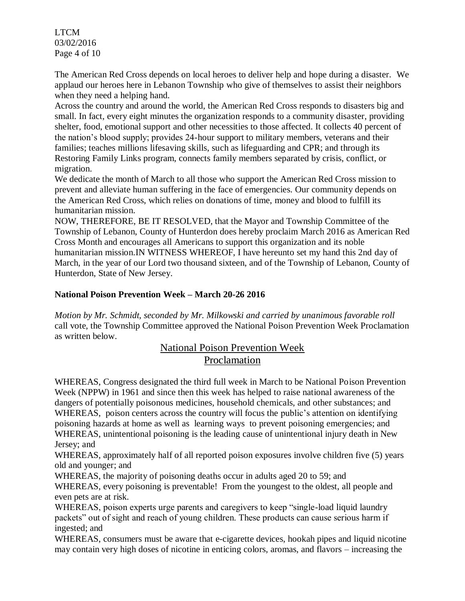LTCM 03/02/2016 Page 4 of 10

The American Red Cross depends on local heroes to deliver help and hope during a disaster. We applaud our heroes here in Lebanon Township who give of themselves to assist their neighbors when they need a helping hand.

Across the country and around the world, the American Red Cross responds to disasters big and small. In fact, every eight minutes the organization responds to a community disaster, providing shelter, food, emotional support and other necessities to those affected. It collects 40 percent of the nation's blood supply; provides 24-hour support to military members, veterans and their families; teaches millions lifesaving skills, such as lifeguarding and CPR; and through its Restoring Family Links program, connects family members separated by crisis, conflict, or migration.

We dedicate the month of March to all those who support the American Red Cross mission to prevent and alleviate human suffering in the face of emergencies. Our community depends on the American Red Cross, which relies on donations of time, money and blood to fulfill its humanitarian mission.

NOW, THEREFORE, BE IT RESOLVED, that the Mayor and Township Committee of the Township of Lebanon, County of Hunterdon does hereby proclaim March 2016 as American Red Cross Month and encourages all Americans to support this organization and its noble humanitarian mission.IN WITNESS WHEREOF, I have hereunto set my hand this 2nd day of March, in the year of our Lord two thousand sixteen, and of the Township of Lebanon, County of Hunterdon, State of New Jersey.

# **National Poison Prevention Week – March 20-26 2016**

*Motion by Mr. Schmidt, seconded by Mr. Milkowski and carried by unanimous favorable roll*  call vote, the Township Committee approved the National Poison Prevention Week Proclamation as written below.

# National Poison Prevention Week Proclamation

WHEREAS, Congress designated the third full week in March to be National Poison Prevention Week (NPPW) in 1961 and since then this week has helped to raise national awareness of the dangers of potentially poisonous medicines, household chemicals, and other substances; and WHEREAS, poison centers across the country will focus the public's attention on identifying poisoning hazards at home as well as learning ways to prevent poisoning emergencies; and WHEREAS, unintentional poisoning is the leading cause of unintentional injury death in New Jersey; and

WHEREAS, approximately half of all reported poison exposures involve children five (5) years old and younger; and

WHEREAS, the majority of poisoning deaths occur in adults aged 20 to 59; and

WHEREAS, every poisoning is preventable! From the youngest to the oldest, all people and even pets are at risk.

WHEREAS, poison experts urge parents and caregivers to keep "single-load liquid laundry packets" out of sight and reach of young children. These products can cause serious harm if ingested; and

WHEREAS, consumers must be aware that e-cigarette devices, hookah pipes and liquid nicotine may contain very high doses of nicotine in enticing colors, aromas, and flavors – increasing the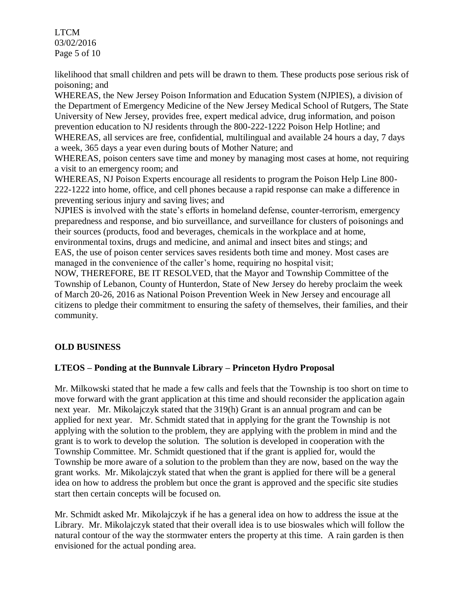LTCM 03/02/2016 Page 5 of 10

likelihood that small children and pets will be drawn to them. These products pose serious risk of poisoning; and

WHEREAS, the New Jersey Poison Information and Education System (NJPIES), a division of the Department of Emergency Medicine of the New Jersey Medical School of Rutgers, The State University of New Jersey, provides free, expert medical advice, drug information, and poison prevention education to NJ residents through the 800-222-1222 Poison Help Hotline; and WHEREAS, all services are free, confidential, multilingual and available 24 hours a day, 7 days a week, 365 days a year even during bouts of Mother Nature; and

WHEREAS, poison centers save time and money by managing most cases at home, not requiring a visit to an emergency room; and

WHEREAS, NJ Poison Experts encourage all residents to program the Poison Help Line 800- 222-1222 into home, office, and cell phones because a rapid response can make a difference in preventing serious injury and saving lives; and

NJPIES is involved with the state's efforts in homeland defense, counter-terrorism, emergency preparedness and response, and bio surveillance, and surveillance for clusters of poisonings and their sources (products, food and beverages, chemicals in the workplace and at home, environmental toxins, drugs and medicine, and animal and insect bites and stings; and EAS, the use of poison center services saves residents both time and money. Most cases are managed in the convenience of the caller's home, requiring no hospital visit;

NOW, THEREFORE, BE IT RESOLVED, that the Mayor and Township Committee of the Township of Lebanon, County of Hunterdon, State of New Jersey do hereby proclaim the week of March 20-26, 2016 as National Poison Prevention Week in New Jersey and encourage all citizens to pledge their commitment to ensuring the safety of themselves, their families, and their community.

# **OLD BUSINESS**

# **LTEOS – Ponding at the Bunnvale Library – Princeton Hydro Proposal**

Mr. Milkowski stated that he made a few calls and feels that the Township is too short on time to move forward with the grant application at this time and should reconsider the application again next year. Mr. Mikolajczyk stated that the 319(h) Grant is an annual program and can be applied for next year. Mr. Schmidt stated that in applying for the grant the Township is not applying with the solution to the problem, they are applying with the problem in mind and the grant is to work to develop the solution. The solution is developed in cooperation with the Township Committee. Mr. Schmidt questioned that if the grant is applied for, would the Township be more aware of a solution to the problem than they are now, based on the way the grant works. Mr. Mikolajczyk stated that when the grant is applied for there will be a general idea on how to address the problem but once the grant is approved and the specific site studies start then certain concepts will be focused on.

Mr. Schmidt asked Mr. Mikolajczyk if he has a general idea on how to address the issue at the Library. Mr. Mikolajczyk stated that their overall idea is to use bioswales which will follow the natural contour of the way the stormwater enters the property at this time. A rain garden is then envisioned for the actual ponding area.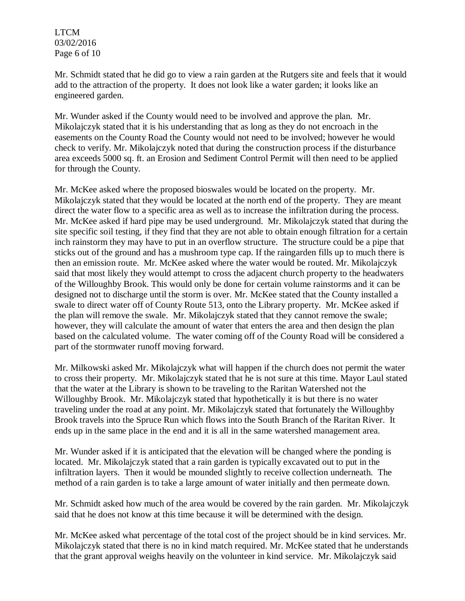LTCM 03/02/2016 Page 6 of 10

Mr. Schmidt stated that he did go to view a rain garden at the Rutgers site and feels that it would add to the attraction of the property. It does not look like a water garden; it looks like an engineered garden.

Mr. Wunder asked if the County would need to be involved and approve the plan. Mr. Mikolajczyk stated that it is his understanding that as long as they do not encroach in the easements on the County Road the County would not need to be involved; however he would check to verify. Mr. Mikolajczyk noted that during the construction process if the disturbance area exceeds 5000 sq. ft. an Erosion and Sediment Control Permit will then need to be applied for through the County.

Mr. McKee asked where the proposed bioswales would be located on the property. Mr. Mikolajczyk stated that they would be located at the north end of the property. They are meant direct the water flow to a specific area as well as to increase the infiltration during the process. Mr. McKee asked if hard pipe may be used underground. Mr. Mikolajczyk stated that during the site specific soil testing, if they find that they are not able to obtain enough filtration for a certain inch rainstorm they may have to put in an overflow structure. The structure could be a pipe that sticks out of the ground and has a mushroom type cap. If the raingarden fills up to much there is then an emission route. Mr. McKee asked where the water would be routed. Mr. Mikolajczyk said that most likely they would attempt to cross the adjacent church property to the headwaters of the Willoughby Brook. This would only be done for certain volume rainstorms and it can be designed not to discharge until the storm is over. Mr. McKee stated that the County installed a swale to direct water off of County Route 513, onto the Library property. Mr. McKee asked if the plan will remove the swale. Mr. Mikolajczyk stated that they cannot remove the swale; however, they will calculate the amount of water that enters the area and then design the plan based on the calculated volume. The water coming off of the County Road will be considered a part of the stormwater runoff moving forward.

Mr. Milkowski asked Mr. Mikolajczyk what will happen if the church does not permit the water to cross their property. Mr. Mikolajczyk stated that he is not sure at this time. Mayor Laul stated that the water at the Library is shown to be traveling to the Raritan Watershed not the Willoughby Brook. Mr. Mikolajczyk stated that hypothetically it is but there is no water traveling under the road at any point. Mr. Mikolajczyk stated that fortunately the Willoughby Brook travels into the Spruce Run which flows into the South Branch of the Raritan River. It ends up in the same place in the end and it is all in the same watershed management area.

Mr. Wunder asked if it is anticipated that the elevation will be changed where the ponding is located. Mr. Mikolajczyk stated that a rain garden is typically excavated out to put in the infiltration layers. Then it would be mounded slightly to receive collection underneath. The method of a rain garden is to take a large amount of water initially and then permeate down.

Mr. Schmidt asked how much of the area would be covered by the rain garden. Mr. Mikolajczyk said that he does not know at this time because it will be determined with the design.

Mr. McKee asked what percentage of the total cost of the project should be in kind services. Mr. Mikolajczyk stated that there is no in kind match required. Mr. McKee stated that he understands that the grant approval weighs heavily on the volunteer in kind service. Mr. Mikolajczyk said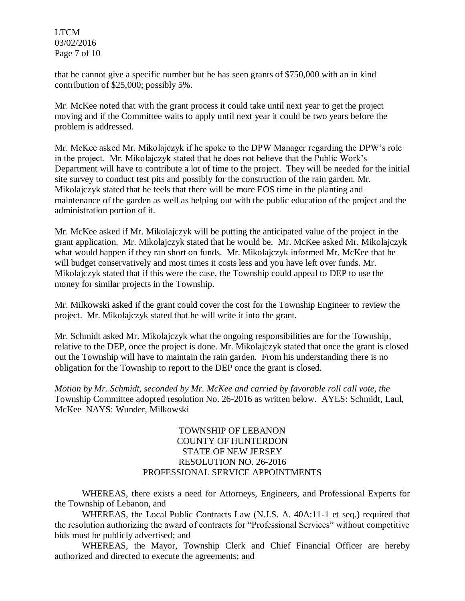LTCM 03/02/2016 Page 7 of 10

that he cannot give a specific number but he has seen grants of \$750,000 with an in kind contribution of \$25,000; possibly 5%.

Mr. McKee noted that with the grant process it could take until next year to get the project moving and if the Committee waits to apply until next year it could be two years before the problem is addressed.

Mr. McKee asked Mr. Mikolajczyk if he spoke to the DPW Manager regarding the DPW's role in the project. Mr. Mikolajczyk stated that he does not believe that the Public Work's Department will have to contribute a lot of time to the project. They will be needed for the initial site survey to conduct test pits and possibly for the construction of the rain garden. Mr. Mikolajczyk stated that he feels that there will be more EOS time in the planting and maintenance of the garden as well as helping out with the public education of the project and the administration portion of it.

Mr. McKee asked if Mr. Mikolajczyk will be putting the anticipated value of the project in the grant application. Mr. Mikolajczyk stated that he would be. Mr. McKee asked Mr. Mikolajczyk what would happen if they ran short on funds. Mr. Mikolajczyk informed Mr. McKee that he will budget conservatively and most times it costs less and you have left over funds. Mr. Mikolajczyk stated that if this were the case, the Township could appeal to DEP to use the money for similar projects in the Township.

Mr. Milkowski asked if the grant could cover the cost for the Township Engineer to review the project. Mr. Mikolajczyk stated that he will write it into the grant.

Mr. Schmidt asked Mr. Mikolajczyk what the ongoing responsibilities are for the Township, relative to the DEP, once the project is done. Mr. Mikolajczyk stated that once the grant is closed out the Township will have to maintain the rain garden. From his understanding there is no obligation for the Township to report to the DEP once the grant is closed.

*Motion by Mr. Schmidt, seconded by Mr. McKee and carried by favorable roll call vote, the*  Township Committee adopted resolution No. 26-2016 as written below. AYES: Schmidt, Laul, McKee NAYS: Wunder, Milkowski

## TOWNSHIP OF LEBANON COUNTY OF HUNTERDON STATE OF NEW JERSEY RESOLUTION NO. 26-2016 PROFESSIONAL SERVICE APPOINTMENTS

WHEREAS, there exists a need for Attorneys, Engineers, and Professional Experts for the Township of Lebanon, and

WHEREAS, the Local Public Contracts Law (N.J.S. A. 40A:11-1 et seq.) required that the resolution authorizing the award of contracts for "Professional Services" without competitive bids must be publicly advertised; and

WHEREAS, the Mayor, Township Clerk and Chief Financial Officer are hereby authorized and directed to execute the agreements; and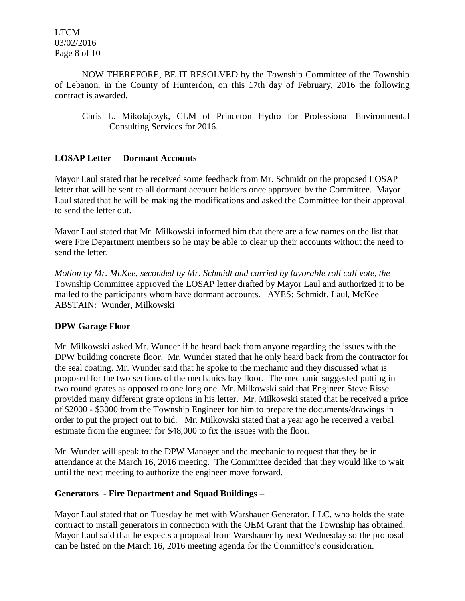LTCM 03/02/2016 Page 8 of 10

NOW THEREFORE, BE IT RESOLVED by the Township Committee of the Township of Lebanon, in the County of Hunterdon, on this 17th day of February, 2016 the following contract is awarded.

Chris L. Mikolajczyk, CLM of Princeton Hydro for Professional Environmental Consulting Services for 2016.

# **LOSAP Letter – Dormant Accounts**

Mayor Laul stated that he received some feedback from Mr. Schmidt on the proposed LOSAP letter that will be sent to all dormant account holders once approved by the Committee. Mayor Laul stated that he will be making the modifications and asked the Committee for their approval to send the letter out.

Mayor Laul stated that Mr. Milkowski informed him that there are a few names on the list that were Fire Department members so he may be able to clear up their accounts without the need to send the letter.

*Motion by Mr. McKee, seconded by Mr. Schmidt and carried by favorable roll call vote, the* Township Committee approved the LOSAP letter drafted by Mayor Laul and authorized it to be mailed to the participants whom have dormant accounts. AYES: Schmidt, Laul, McKee ABSTAIN: Wunder, Milkowski

# **DPW Garage Floor**

Mr. Milkowski asked Mr. Wunder if he heard back from anyone regarding the issues with the DPW building concrete floor. Mr. Wunder stated that he only heard back from the contractor for the seal coating. Mr. Wunder said that he spoke to the mechanic and they discussed what is proposed for the two sections of the mechanics bay floor. The mechanic suggested putting in two round grates as opposed to one long one. Mr. Milkowski said that Engineer Steve Risse provided many different grate options in his letter. Mr. Milkowski stated that he received a price of \$2000 - \$3000 from the Township Engineer for him to prepare the documents/drawings in order to put the project out to bid. Mr. Milkowski stated that a year ago he received a verbal estimate from the engineer for \$48,000 to fix the issues with the floor.

Mr. Wunder will speak to the DPW Manager and the mechanic to request that they be in attendance at the March 16, 2016 meeting. The Committee decided that they would like to wait until the next meeting to authorize the engineer move forward.

## **Generators - Fire Department and Squad Buildings –**

Mayor Laul stated that on Tuesday he met with Warshauer Generator, LLC, who holds the state contract to install generators in connection with the OEM Grant that the Township has obtained. Mayor Laul said that he expects a proposal from Warshauer by next Wednesday so the proposal can be listed on the March 16, 2016 meeting agenda for the Committee's consideration.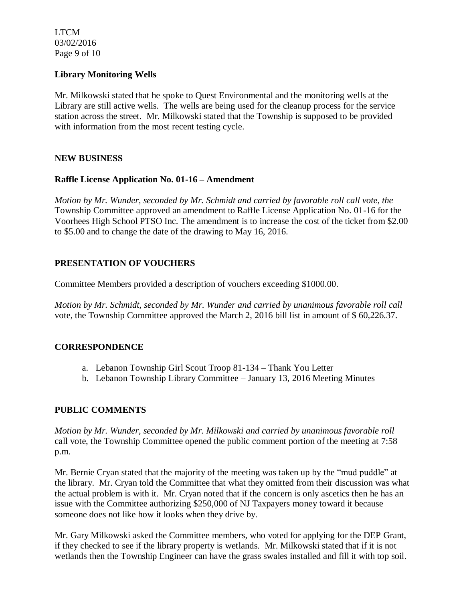LTCM 03/02/2016 Page 9 of 10

## **Library Monitoring Wells**

Mr. Milkowski stated that he spoke to Quest Environmental and the monitoring wells at the Library are still active wells. The wells are being used for the cleanup process for the service station across the street. Mr. Milkowski stated that the Township is supposed to be provided with information from the most recent testing cycle.

## **NEW BUSINESS**

## **Raffle License Application No. 01-16 – Amendment**

*Motion by Mr. Wunder, seconded by Mr. Schmidt and carried by favorable roll call vote, the* Township Committee approved an amendment to Raffle License Application No. 01-16 for the Voorhees High School PTSO Inc. The amendment is to increase the cost of the ticket from \$2.00 to \$5.00 and to change the date of the drawing to May 16, 2016.

# **PRESENTATION OF VOUCHERS**

Committee Members provided a description of vouchers exceeding \$1000.00.

*Motion by Mr. Schmidt, seconded by Mr. Wunder and carried by unanimous favorable roll call*  vote, the Township Committee approved the March 2, 2016 bill list in amount of \$ 60,226.37.

# **CORRESPONDENCE**

- a. Lebanon Township Girl Scout Troop 81-134 Thank You Letter
- b. Lebanon Township Library Committee January 13, 2016 Meeting Minutes

# **PUBLIC COMMENTS**

*Motion by Mr. Wunder, seconded by Mr. Milkowski and carried by unanimous favorable roll* call vote, the Township Committee opened the public comment portion of the meeting at 7:58 p.m.

Mr. Bernie Cryan stated that the majority of the meeting was taken up by the "mud puddle" at the library. Mr. Cryan told the Committee that what they omitted from their discussion was what the actual problem is with it. Mr. Cryan noted that if the concern is only ascetics then he has an issue with the Committee authorizing \$250,000 of NJ Taxpayers money toward it because someone does not like how it looks when they drive by.

Mr. Gary Milkowski asked the Committee members, who voted for applying for the DEP Grant, if they checked to see if the library property is wetlands. Mr. Milkowski stated that if it is not wetlands then the Township Engineer can have the grass swales installed and fill it with top soil.